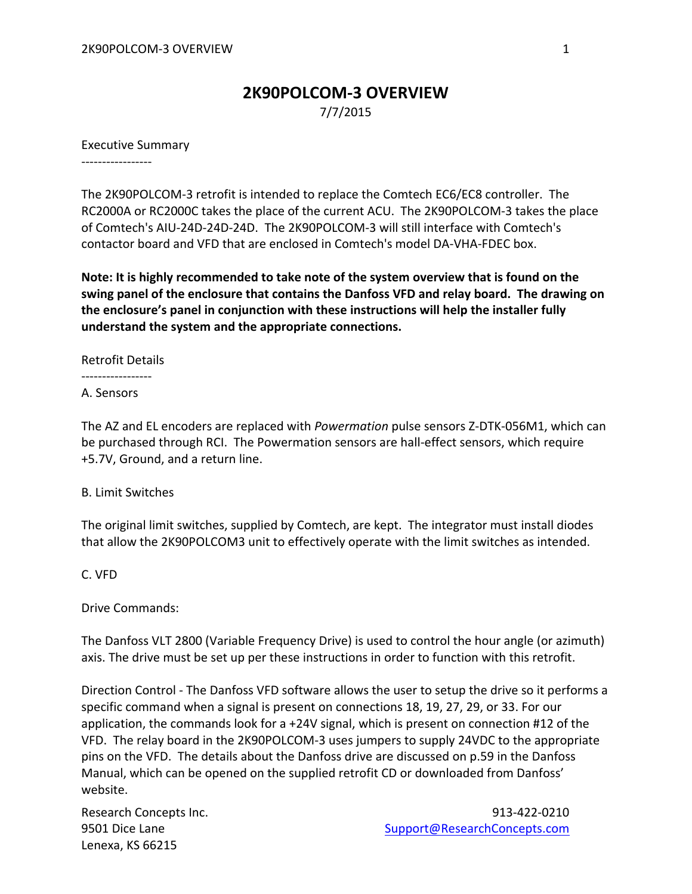## **2K90POLCOM-3 OVERVIEW**

7/7/2015

## Executive Summary

-----------------

The 2K90POLCOM-3 retrofit is intended to replace the Comtech EC6/EC8 controller. The RC2000A or RC2000C takes the place of the current ACU. The 2K90POLCOM-3 takes the place of Comtech's AIU-24D-24D-24D. The 2K90POLCOM-3 will still interface with Comtech's contactor board and VFD that are enclosed in Comtech's model DA-VHA-FDEC box.

**Note: It is highly recommended to take note of the system overview that is found on the swing panel of the enclosure that contains the Danfoss VFD and relay board. The drawing on the enclosure's panel in conjunction with these instructions will help the installer fully understand the system and the appropriate connections.**

Retrofit Details

-----------------

A. Sensors

The AZ and EL encoders are replaced with *Powermation* pulse sensors Z-DTK-056M1, which can be purchased through RCI. The Powermation sensors are hall-effect sensors, which require +5.7V, Ground, and a return line.

B. Limit Switches

The original limit switches, supplied by Comtech, are kept. The integrator must install diodes that allow the 2K90POLCOM3 unit to effectively operate with the limit switches as intended.

C. VFD

Drive Commands:

The Danfoss VLT 2800 (Variable Frequency Drive) is used to control the hour angle (or azimuth) axis. The drive must be set up per these instructions in order to function with this retrofit.

Direction Control - The Danfoss VFD software allows the user to setup the drive so it performs a specific command when a signal is present on connections 18, 19, 27, 29, or 33. For our application, the commands look for a +24V signal, which is present on connection #12 of the VFD. The relay board in the 2K90POLCOM-3 uses jumpers to supply 24VDC to the appropriate pins on the VFD. The details about the Danfoss drive are discussed on p.59 in the Danfoss Manual, which can be opened on the supplied retrofit CD or downloaded from Danfoss' website.

Lenexa, KS 66215

Research Concepts Inc. **913-422-0210** 9501 Dice Lane [Support@ResearchConcepts.com](mailto:Support@ResearchConcepts.com)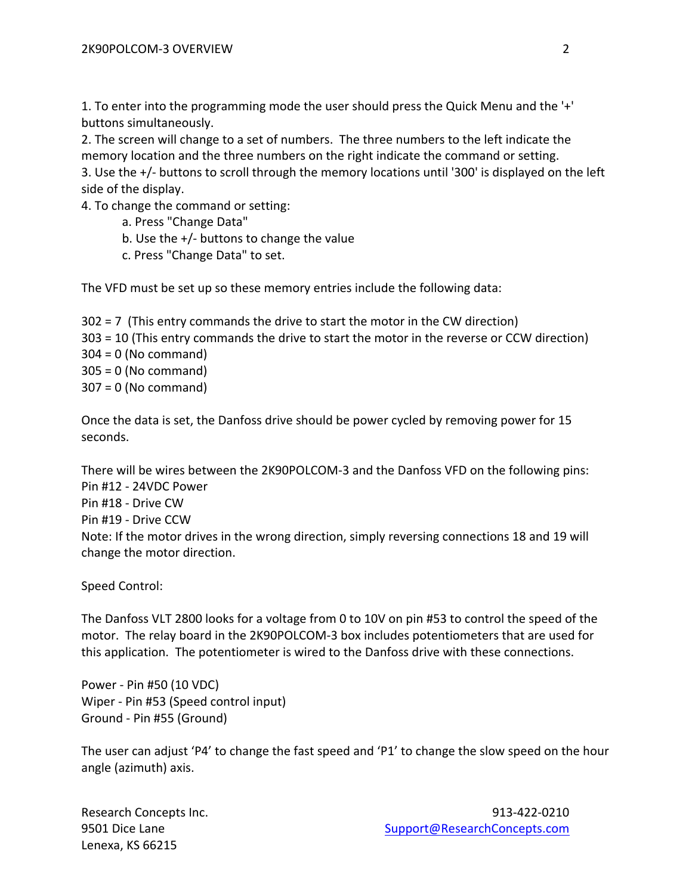1. To enter into the programming mode the user should press the Quick Menu and the '+' buttons simultaneously.

2. The screen will change to a set of numbers. The three numbers to the left indicate the memory location and the three numbers on the right indicate the command or setting. 3. Use the +/- buttons to scroll through the memory locations until '300' is displayed on the left side of the display.

4. To change the command or setting:

- a. Press "Change Data"
- b. Use the +/- buttons to change the value
- c. Press "Change Data" to set.

The VFD must be set up so these memory entries include the following data:

302 = 7 (This entry commands the drive to start the motor in the CW direction) 303 = 10 (This entry commands the drive to start the motor in the reverse or CCW direction)  $304 = 0$  (No command) 305 = 0 (No command) 307 = 0 (No command)

Once the data is set, the Danfoss drive should be power cycled by removing power for 15 seconds.

There will be wires between the 2K90POLCOM-3 and the Danfoss VFD on the following pins: Pin #12 - 24VDC Power Pin #18 - Drive CW Pin #19 - Drive CCW Note: If the motor drives in the wrong direction, simply reversing connections 18 and 19 will change the motor direction.

Speed Control:

The Danfoss VLT 2800 looks for a voltage from 0 to 10V on pin #53 to control the speed of the motor. The relay board in the 2K90POLCOM-3 box includes potentiometers that are used for this application. The potentiometer is wired to the Danfoss drive with these connections.

Power - Pin #50 (10 VDC) Wiper - Pin #53 (Speed control input) Ground - Pin #55 (Ground)

The user can adjust 'P4' to change the fast speed and 'P1' to change the slow speed on the hour angle (azimuth) axis.

Lenexa, KS 66215

Research Concepts Inc. **913-422-0210** 9501 Dice Lane [Support@ResearchConcepts.com](mailto:Support@ResearchConcepts.com)